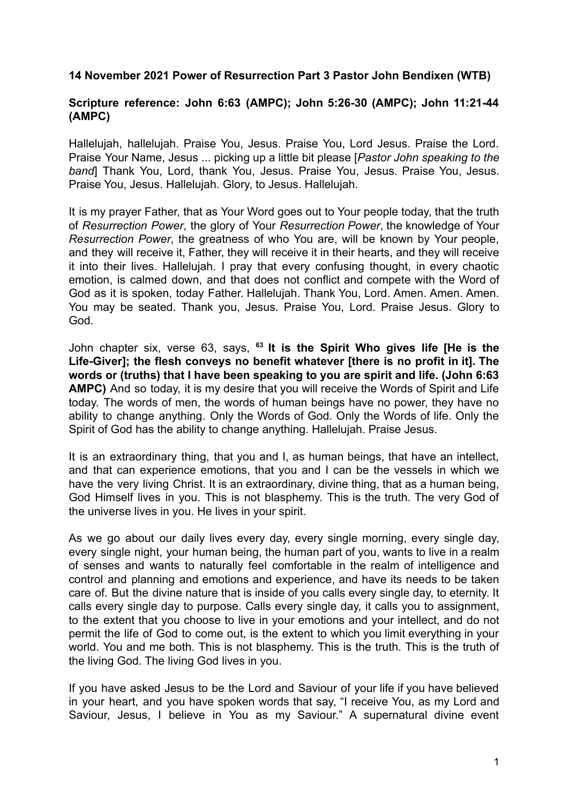## **14 November 2021 Power of Resurrection Part 3 Pastor John Bendixen (WTB)**

## **Scripture reference: John 6:63 (AMPC); John 5:26-30 (AMPC); John 11:21-44 (AMPC)**

Hallelujah, hallelujah. Praise You, Jesus. Praise You, Lord Jesus. Praise the Lord. Praise Your Name, Jesus ... picking up a little bit please [*Pastor John speaking to the band*] Thank You, Lord, thank You, Jesus. Praise You, Jesus. Praise You, Jesus. Praise You, Jesus. Hallelujah. Glory, to Jesus. Hallelujah.

It is my prayer Father, that as Your Word goes out to Your people today, that the truth of *Resurrection Power*, the glory of Your *Resurrection Power*, the knowledge of Your *Resurrection Power*, the greatness of who You are, will be known by Your people, and they will receive it, Father, they will receive it in their hearts, and they will receive it into their lives. Hallelujah. I pray that every confusing thought, in every chaotic emotion, is calmed down, and that does not conflict and compete with the Word of God as it is spoken, today Father. Hallelujah. Thank You, Lord. Amen. Amen. Amen. You may be seated. Thank you, Jesus. Praise You, Lord. Praise Jesus. Glory to God.

John chapter six, verse 63, says, **<sup>63</sup> It is the Spirit Who gives life [He is the Life-Giver]; the flesh conveys no benefit whatever [there is no profit in it]. The words or (truths) that I have been speaking to you are spirit and life. (John 6:63 AMPC)** And so today, it is my desire that you will receive the Words of Spirit and Life today. The words of men, the words of human beings have no power, they have no ability to change anything. Only the Words of God. Only the Words of life. Only the Spirit of God has the ability to change anything. Hallelujah. Praise Jesus.

It is an extraordinary thing, that you and I, as human beings, that have an intellect, and that can experience emotions, that you and I can be the vessels in which we have the very living Christ. It is an extraordinary, divine thing, that as a human being, God Himself lives in you. This is not blasphemy. This is the truth. The very God of the universe lives in you. He lives in your spirit.

As we go about our daily lives every day, every single morning, every single day, every single night, your human being, the human part of you, wants to live in a realm of senses and wants to naturally feel comfortable in the realm of intelligence and control and planning and emotions and experience, and have its needs to be taken care of. But the divine nature that is inside of you calls every single day, to eternity. It calls every single day to purpose. Calls every single day, it calls you to assignment, to the extent that you choose to live in your emotions and your intellect, and do not permit the life of God to come out, is the extent to which you limit everything in your world. You and me both. This is not blasphemy. This is the truth. This is the truth of the living God. The living God lives in you.

If you have asked Jesus to be the Lord and Saviour of your life if you have believed in your heart, and you have spoken words that say, "I receive You, as my Lord and Saviour, Jesus, I believe in You as my Saviour." A supernatural divine event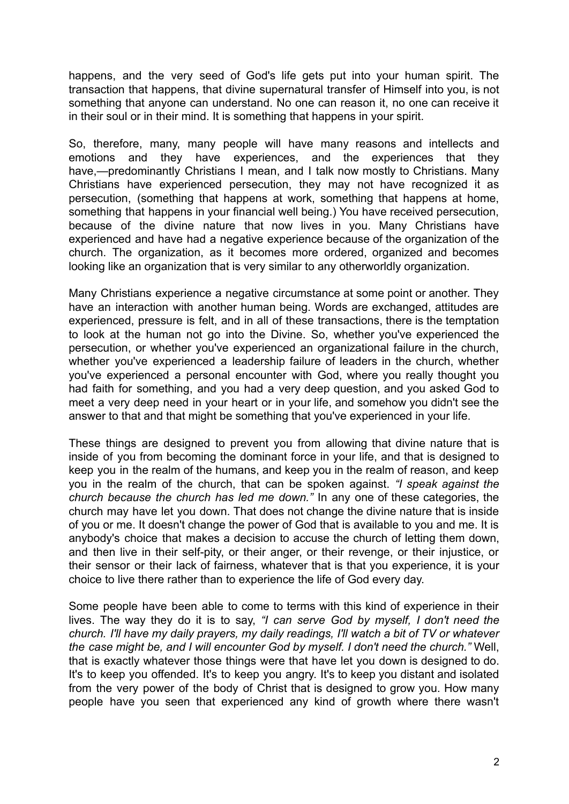happens, and the very seed of God's life gets put into your human spirit. The transaction that happens, that divine supernatural transfer of Himself into you, is not something that anyone can understand. No one can reason it, no one can receive it in their soul or in their mind. It is something that happens in your spirit.

So, therefore, many, many people will have many reasons and intellects and emotions and they have experiences, and the experiences that they have,—predominantly Christians I mean, and I talk now mostly to Christians. Many Christians have experienced persecution, they may not have recognized it as persecution, (something that happens at work, something that happens at home, something that happens in your financial well being.) You have received persecution, because of the divine nature that now lives in you. Many Christians have experienced and have had a negative experience because of the organization of the church. The organization, as it becomes more ordered, organized and becomes looking like an organization that is very similar to any otherworldly organization.

Many Christians experience a negative circumstance at some point or another. They have an interaction with another human being. Words are exchanged, attitudes are experienced, pressure is felt, and in all of these transactions, there is the temptation to look at the human not go into the Divine. So, whether you've experienced the persecution, or whether you've experienced an organizational failure in the church, whether you've experienced a leadership failure of leaders in the church, whether you've experienced a personal encounter with God, where you really thought you had faith for something, and you had a very deep question, and you asked God to meet a very deep need in your heart or in your life, and somehow you didn't see the answer to that and that might be something that you've experienced in your life.

These things are designed to prevent you from allowing that divine nature that is inside of you from becoming the dominant force in your life, and that is designed to keep you in the realm of the humans, and keep you in the realm of reason, and keep you in the realm of the church, that can be spoken against. *"I speak against the church because the church has led me down."* In any one of these categories, the church may have let you down. That does not change the divine nature that is inside of you or me. It doesn't change the power of God that is available to you and me. It is anybody's choice that makes a decision to accuse the church of letting them down, and then live in their self-pity, or their anger, or their revenge, or their injustice, or their sensor or their lack of fairness, whatever that is that you experience, it is your choice to live there rather than to experience the life of God every day.

Some people have been able to come to terms with this kind of experience in their lives. The way they do it is to say, *"I can serve God by myself, I don't need the church. I'll have my daily prayers, my daily readings, I'll watch a bit of TV or whatever the case might be, and I will encounter God by myself. I don't need the church."* Well, that is exactly whatever those things were that have let you down is designed to do. It's to keep you offended. It's to keep you angry. It's to keep you distant and isolated from the very power of the body of Christ that is designed to grow you. How many people have you seen that experienced any kind of growth where there wasn't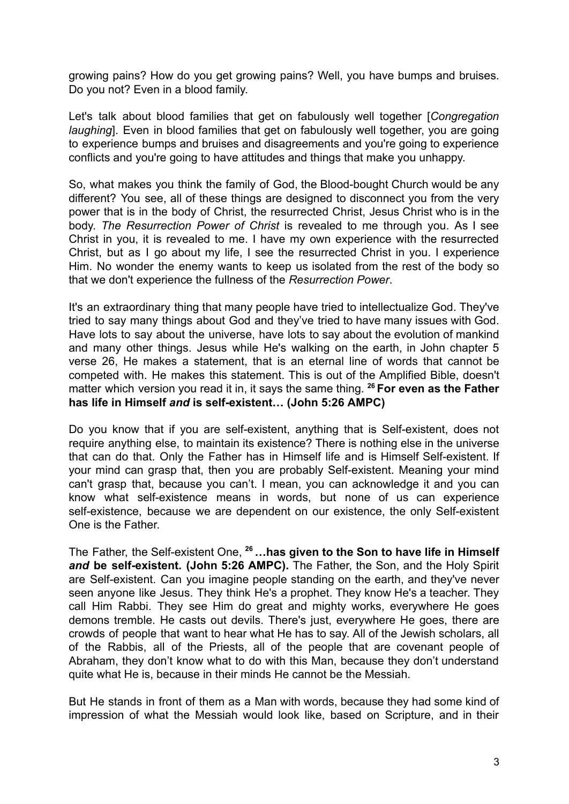growing pains? How do you get growing pains? Well, you have bumps and bruises. Do you not? Even in a blood family.

Let's talk about blood families that get on fabulously well together [*Congregation laughing*]. Even in blood families that get on fabulously well together, you are going to experience bumps and bruises and disagreements and you're going to experience conflicts and you're going to have attitudes and things that make you unhappy.

So, what makes you think the family of God, the Blood-bought Church would be any different? You see, all of these things are designed to disconnect you from the very power that is in the body of Christ, the resurrected Christ, Jesus Christ who is in the body. *The Resurrection Power of Christ* is revealed to me through you. As I see Christ in you, it is revealed to me. I have my own experience with the resurrected Christ, but as I go about my life, I see the resurrected Christ in you. I experience Him. No wonder the enemy wants to keep us isolated from the rest of the body so that we don't experience the fullness of the *Resurrection Power*.

It's an extraordinary thing that many people have tried to intellectualize God. They've tried to say many things about God and they've tried to have many issues with God. Have lots to say about the universe, have lots to say about the evolution of mankind and many other things. Jesus while He's walking on the earth, in John chapter 5 verse 26, He makes a statement, that is an eternal line of words that cannot be competed with. He makes this statement. This is out of the Amplified Bible, doesn't matter which version you read it in, it says the same thing. **<sup>26</sup> For even as the Father has life in Himself** *and* **is self-existent… (John 5:26 AMPC)**

Do you know that if you are self-existent, anything that is Self-existent, does not require anything else, to maintain its existence? There is nothing else in the universe that can do that. Only the Father has in Himself life and is Himself Self-existent. If your mind can grasp that, then you are probably Self-existent. Meaning your mind can't grasp that, because you can't. I mean, you can acknowledge it and you can know what self-existence means in words, but none of us can experience self-existence, because we are dependent on our existence, the only Self-existent One is the Father.

The Father, the Self-existent One, **<sup>26</sup>…has given to the Son to have life in Himself** *and* **be self-existent. (John 5:26 AMPC).** The Father, the Son, and the Holy Spirit are Self-existent. Can you imagine people standing on the earth, and they've never seen anyone like Jesus. They think He's a prophet. They know He's a teacher. They call Him Rabbi. They see Him do great and mighty works, everywhere He goes demons tremble. He casts out devils. There's just, everywhere He goes, there are crowds of people that want to hear what He has to say. All of the Jewish scholars, all of the Rabbis, all of the Priests, all of the people that are covenant people of Abraham, they don't know what to do with this Man, because they don't understand quite what He is, because in their minds He cannot be the Messiah.

But He stands in front of them as a Man with words, because they had some kind of impression of what the Messiah would look like, based on Scripture, and in their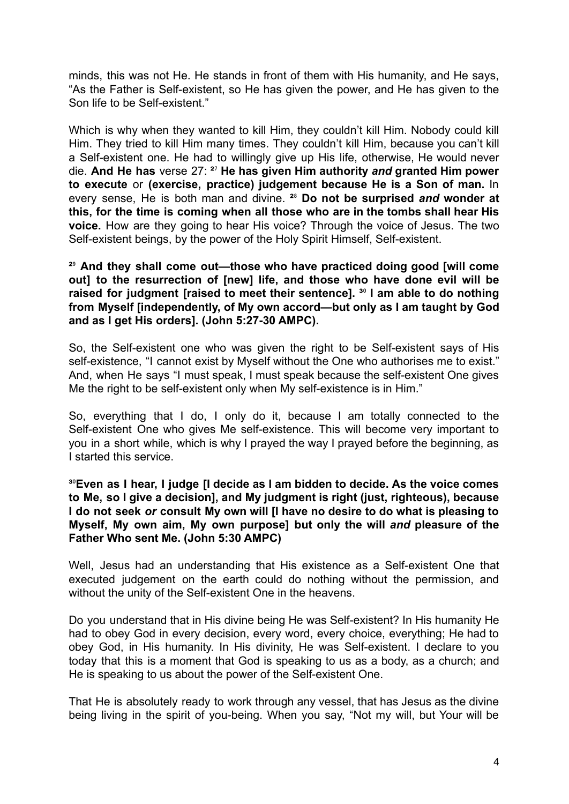minds, this was not He. He stands in front of them with His humanity, and He says, "As the Father is Self-existent, so He has given the power, and He has given to the Son life to be Self-existent."

Which is why when they wanted to kill Him, they couldn't kill Him. Nobody could kill Him. They tried to kill Him many times. They couldn't kill Him, because you can't kill a Self-existent one. He had to willingly give up His life, otherwise, He would never die. **And He has** verse 27: **²**⁷ **He has given Him authority** *and* **granted Him power to execute** or **(exercise, practice) judgement because He is a Son of man.** In every sense, He is both man and divine. **²**⁸ **Do not be surprised** *and* **wonder at this, for the time is coming when all those who are in the tombs shall hear His voice.** How are they going to hear His voice? Through the voice of Jesus. The two Self-existent beings, by the power of the Holy Spirit Himself, Self-existent.

**²**⁹ **And they shall come out—those who have practiced doing good [will come out] to the resurrection of [new] life, and those who have done evil will be raised for judgment [raised to meet their sentence]. ³**⁰ **I am able to do nothing from Myself [independently, of My own accord—but only as I am taught by God and as I get His orders]. (John 5:27-30 AMPC).**

So, the Self-existent one who was given the right to be Self-existent says of His self-existence, "I cannot exist by Myself without the One who authorises me to exist." And, when He says "I must speak, I must speak because the self-existent One gives Me the right to be self-existent only when My self-existence is in Him."

So, everything that I do, I only do it, because I am totally connected to the Self-existent One who gives Me self-existence. This will become very important to you in a short while, which is why I prayed the way I prayed before the beginning, as I started this service.

**³**⁰**Even as I hear, I judge [I decide as I am bidden to decide. As the voice comes to Me, so I give a decision], and My judgment is right (just, righteous), because I do not seek** *or* **consult My own will [I have no desire to do what is pleasing to Myself, My own aim, My own purpose] but only the will** *and* **pleasure of the Father Who sent Me. (John 5:30 AMPC)**

Well, Jesus had an understanding that His existence as a Self-existent One that executed judgement on the earth could do nothing without the permission, and without the unity of the Self-existent One in the heavens.

Do you understand that in His divine being He was Self-existent? In His humanity He had to obey God in every decision, every word, every choice, everything; He had to obey God, in His humanity. In His divinity, He was Self-existent. I declare to you today that this is a moment that God is speaking to us as a body, as a church; and He is speaking to us about the power of the Self-existent One.

That He is absolutely ready to work through any vessel, that has Jesus as the divine being living in the spirit of you-being. When you say, "Not my will, but Your will be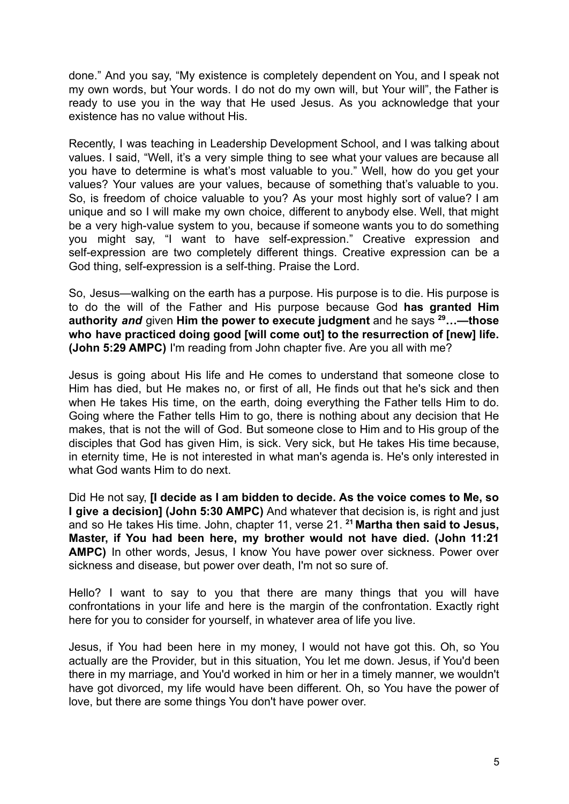done." And you say, "My existence is completely dependent on You, and I speak not my own words, but Your words. I do not do my own will, but Your will", the Father is ready to use you in the way that He used Jesus. As you acknowledge that your existence has no value without His.

Recently, I was teaching in Leadership Development School, and I was talking about values. I said, "Well, it's a very simple thing to see what your values are because all you have to determine is what's most valuable to you." Well, how do you get your values? Your values are your values, because of something that's valuable to you. So, is freedom of choice valuable to you? As your most highly sort of value? I am unique and so I will make my own choice, different to anybody else. Well, that might be a very high-value system to you, because if someone wants you to do something you might say, "I want to have self-expression." Creative expression and self-expression are two completely different things. Creative expression can be a God thing, self-expression is a self-thing. Praise the Lord.

So, Jesus—walking on the earth has a purpose. His purpose is to die. His purpose is to do the will of the Father and His purpose because God **has granted Him authority** *and* given **Him the power to execute judgment** and he says **<sup>29</sup>…—those who have practiced doing good [will come out] to the resurrection of [new] life. (John 5:29 AMPC)** I'm reading from John chapter five. Are you all with me?

Jesus is going about His life and He comes to understand that someone close to Him has died, but He makes no, or first of all, He finds out that he's sick and then when He takes His time, on the earth, doing everything the Father tells Him to do. Going where the Father tells Him to go, there is nothing about any decision that He makes, that is not the will of God. But someone close to Him and to His group of the disciples that God has given Him, is sick. Very sick, but He takes His time because, in eternity time, He is not interested in what man's agenda is. He's only interested in what God wants Him to do next.

Did He not say, **[I decide as I am bidden to decide. As the voice comes to Me, so I give a decision] (John 5:30 AMPC)** And whatever that decision is, is right and just and so He takes His time. John, chapter 11, verse 21. **<sup>21</sup> Martha then said to Jesus, Master, if You had been here, my brother would not have died. (John 11:21 AMPC)** In other words, Jesus, I know You have power over sickness. Power over sickness and disease, but power over death, I'm not so sure of.

Hello? I want to say to you that there are many things that you will have confrontations in your life and here is the margin of the confrontation. Exactly right here for you to consider for yourself, in whatever area of life you live.

Jesus, if You had been here in my money, I would not have got this. Oh, so You actually are the Provider, but in this situation, You let me down. Jesus, if You'd been there in my marriage, and You'd worked in him or her in a timely manner, we wouldn't have got divorced, my life would have been different. Oh, so You have the power of love, but there are some things You don't have power over.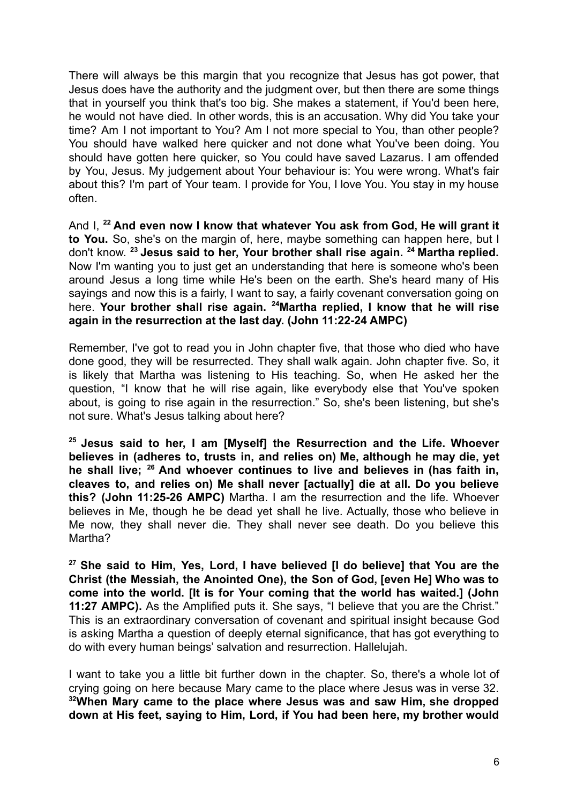There will always be this margin that you recognize that Jesus has got power, that Jesus does have the authority and the judgment over, but then there are some things that in yourself you think that's too big. She makes a statement, if You'd been here, he would not have died. In other words, this is an accusation. Why did You take your time? Am I not important to You? Am I not more special to You, than other people? You should have walked here quicker and not done what You've been doing. You should have gotten here quicker, so You could have saved Lazarus. I am offended by You, Jesus. My judgement about Your behaviour is: You were wrong. What's fair about this? I'm part of Your team. I provide for You, I love You. You stay in my house often.

And I, **<sup>22</sup> And even now I know that whatever You ask from God, He will grant it to You.** So, she's on the margin of, here, maybe something can happen here, but I don't know. **<sup>23</sup> Jesus said to her, Your brother shall rise again. <sup>24</sup> Martha replied.** Now I'm wanting you to just get an understanding that here is someone who's been around Jesus a long time while He's been on the earth. She's heard many of His sayings and now this is a fairly, I want to say, a fairly covenant conversation going on here. **Your brother shall rise again. <sup>24</sup>Martha replied, I know that he will rise again in the resurrection at the last day. (John 11:22-24 AMPC)**

Remember, I've got to read you in John chapter five, that those who died who have done good, they will be resurrected. They shall walk again. John chapter five. So, it is likely that Martha was listening to His teaching. So, when He asked her the question, "I know that he will rise again, like everybody else that You've spoken about, is going to rise again in the resurrection." So, she's been listening, but she's not sure. What's Jesus talking about here?

**<sup>25</sup> Jesus said to her, I am [Myself] the Resurrection and the Life. Whoever believes in (adheres to, trusts in, and relies on) Me, although he may die, yet he shall live; <sup>26</sup> And whoever continues to live and believes in (has faith in, cleaves to, and relies on) Me shall never [actually] die at all. Do you believe this? (John 11:25-26 AMPC)** Martha. I am the resurrection and the life. Whoever believes in Me, though he be dead yet shall he live. Actually, those who believe in Me now, they shall never die. They shall never see death. Do you believe this Martha?

**<sup>27</sup> She said to Him, Yes, Lord, I have believed [I do believe] that You are the Christ (the Messiah, the Anointed One), the Son of God, [even He] Who was to come into the world. [It is for Your coming that the world has waited.] (John 11:27 AMPC).** As the Amplified puts it. She says, "I believe that you are the Christ." This is an extraordinary conversation of covenant and spiritual insight because God is asking Martha a question of deeply eternal significance, that has got everything to do with every human beings' salvation and resurrection. Hallelujah.

I want to take you a little bit further down in the chapter. So, there's a whole lot of crying going on here because Mary came to the place where Jesus was in verse 32. **<sup>32</sup>When Mary came to the place where Jesus was and saw Him, she dropped down at His feet, saying to Him, Lord, if You had been here, my brother would**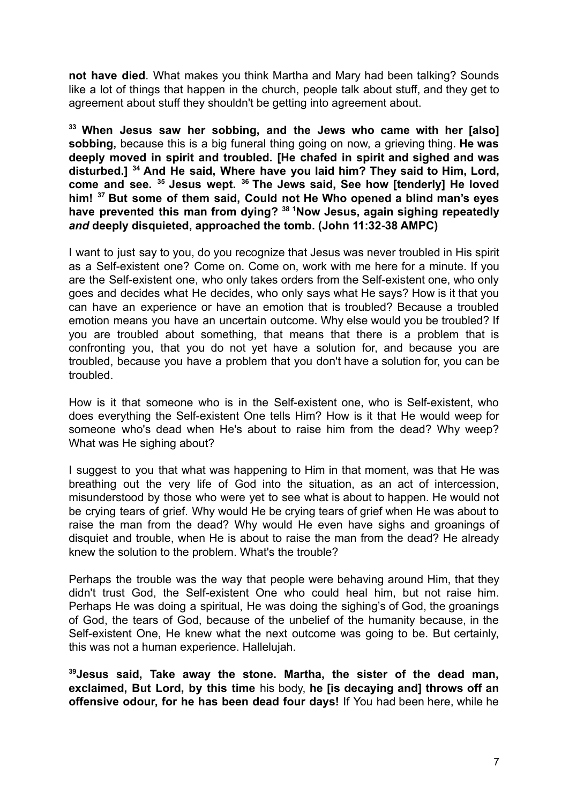**not have died**. What makes you think Martha and Mary had been talking? Sounds like a lot of things that happen in the church, people talk about stuff, and they get to agreement about stuff they shouldn't be getting into agreement about.

**<sup>33</sup> When Jesus saw her sobbing, and the Jews who came with her [also] sobbing,** because this is a big funeral thing going on now, a grieving thing. **He was deeply moved in spirit and troubled. [He chafed in spirit and sighed and was disturbed.] <sup>34</sup> And He said, Where have you laid him? They said to Him, Lord, come and see. <sup>35</sup> Jesus wept. <sup>36</sup> The Jews said, See how [tenderly] He loved him! <sup>37</sup> But some of them said, Could not He Who opened a blind man's eyes have prevented this man from dying? <sup>38</sup> <sup>1</sup>Now Jesus, again sighing repeatedly** *and* **deeply disquieted, approached the tomb. (John 11:32-38 AMPC)**

I want to just say to you, do you recognize that Jesus was never troubled in His spirit as a Self-existent one? Come on. Come on, work with me here for a minute. If you are the Self-existent one, who only takes orders from the Self-existent one, who only goes and decides what He decides, who only says what He says? How is it that you can have an experience or have an emotion that is troubled? Because a troubled emotion means you have an uncertain outcome. Why else would you be troubled? If you are troubled about something, that means that there is a problem that is confronting you, that you do not yet have a solution for, and because you are troubled, because you have a problem that you don't have a solution for, you can be troubled.

How is it that someone who is in the Self-existent one, who is Self-existent, who does everything the Self-existent One tells Him? How is it that He would weep for someone who's dead when He's about to raise him from the dead? Why weep? What was He sighing about?

I suggest to you that what was happening to Him in that moment, was that He was breathing out the very life of God into the situation, as an act of intercession, misunderstood by those who were yet to see what is about to happen. He would not be crying tears of grief. Why would He be crying tears of grief when He was about to raise the man from the dead? Why would He even have sighs and groanings of disquiet and trouble, when He is about to raise the man from the dead? He already knew the solution to the problem. What's the trouble?

Perhaps the trouble was the way that people were behaving around Him, that they didn't trust God, the Self-existent One who could heal him, but not raise him. Perhaps He was doing a spiritual, He was doing the sighing's of God, the groanings of God, the tears of God, because of the unbelief of the humanity because, in the Self-existent One, He knew what the next outcome was going to be. But certainly, this was not a human experience. Hallelujah.

**<sup>39</sup>Jesus said, Take away the stone. Martha, the sister of the dead man, exclaimed, But Lord, by this time** his body, **he [is decaying and] throws off an offensive odour, for he has been dead four days!** If You had been here, while he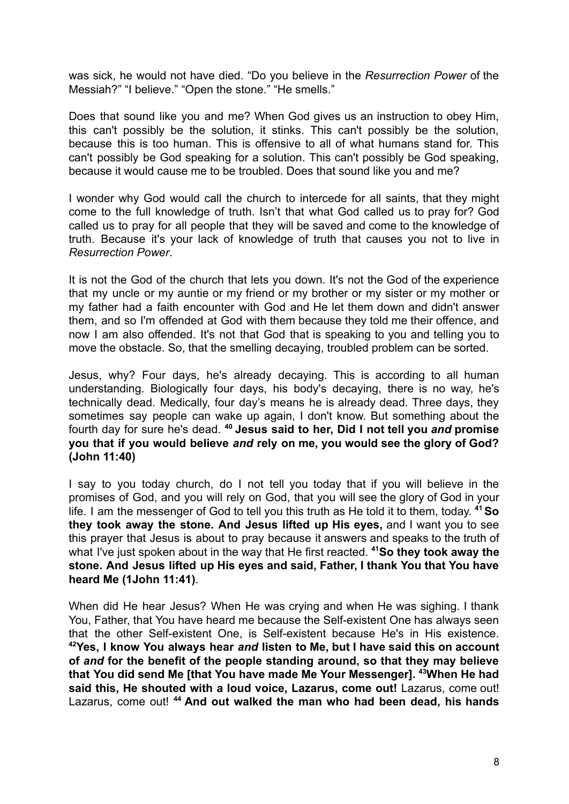was sick, he would not have died. "Do you believe in the *Resurrection Power* of the Messiah?" "I believe." "Open the stone." "He smells."

Does that sound like you and me? When God gives us an instruction to obey Him, this can't possibly be the solution, it stinks. This can't possibly be the solution, because this is too human. This is offensive to all of what humans stand for. This can't possibly be God speaking for a solution. This can't possibly be God speaking, because it would cause me to be troubled. Does that sound like you and me?

I wonder why God would call the church to intercede for all saints, that they might come to the full knowledge of truth. Isn't that what God called us to pray for? God called us to pray for all people that they will be saved and come to the knowledge of truth. Because it's your lack of knowledge of truth that causes you not to live in *Resurrection Power*.

It is not the God of the church that lets you down. It's not the God of the experience that my uncle or my auntie or my friend or my brother or my sister or my mother or my father had a faith encounter with God and He let them down and didn't answer them, and so I'm offended at God with them because they told me their offence, and now I am also offended. It's not that God that is speaking to you and telling you to move the obstacle. So, that the smelling decaying, troubled problem can be sorted.

Jesus, why? Four days, he's already decaying. This is according to all human understanding. Biologically four days, his body's decaying, there is no way, he's technically dead. Medically, four day's means he is already dead. Three days, they sometimes say people can wake up again, I don't know. But something about the fourth day for sure he's dead. **<sup>40</sup> Jesus said to her, Did I not tell you** *and* **promise you that if you would believe** *and* **rely on me, you would see the glory of God? (John 11:40)**

I say to you today church, do I not tell you today that if you will believe in the promises of God, and you will rely on God, that you will see the glory of God in your life. I am the messenger of God to tell you this truth as He told it to them, today. **<sup>41</sup>So they took away the stone. And Jesus lifted up His eyes,** and I want you to see this prayer that Jesus is about to pray because it answers and speaks to the truth of what I've just spoken about in the way that He first reacted. **<sup>41</sup>So they took away the stone. And Jesus lifted up His eyes and said, Father, I thank You that You have heard Me (1John 11:41)**.

When did He hear Jesus? When He was crying and when He was sighing. I thank You, Father, that You have heard me because the Self-existent One has always seen that the other Self-existent One, is Self-existent because He's in His existence. **<sup>42</sup>Yes, I know You always hear** *and* **listen to Me, but I have said this on account of** *and* **for the benefit of the people standing around, so that they may believe that You did send Me [that You have made Me Your Messenger]. <sup>43</sup>When He had said this, He shouted with a loud voice, Lazarus, come out!** Lazarus, come out! Lazarus, come out! **<sup>44</sup> And out walked the man who had been dead, his hands**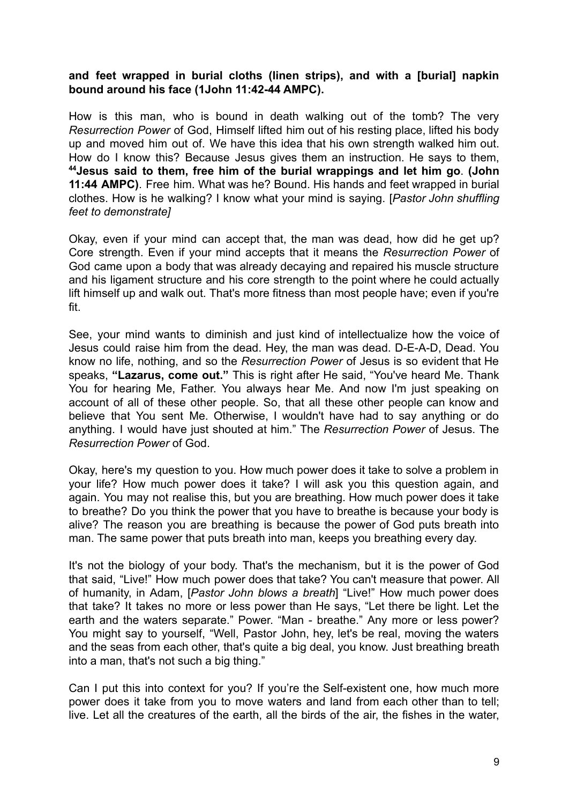## **and feet wrapped in burial cloths (linen strips), and with a [burial] napkin bound around his face (1John 11:42-44 AMPC).**

How is this man, who is bound in death walking out of the tomb? The very *Resurrection Power* of God, Himself lifted him out of his resting place, lifted his body up and moved him out of. We have this idea that his own strength walked him out. How do I know this? Because Jesus gives them an instruction. He says to them, **<sup>44</sup>Jesus said to them, free him of the burial wrappings and let him go**. **(John 11:44 AMPC)**. Free him. What was he? Bound. His hands and feet wrapped in burial clothes. How is he walking? I know what your mind is saying. [*Pastor John shuffling feet to demonstrate]*

Okay, even if your mind can accept that, the man was dead, how did he get up? Core strength. Even if your mind accepts that it means the *Resurrection Power* of God came upon a body that was already decaying and repaired his muscle structure and his ligament structure and his core strength to the point where he could actually lift himself up and walk out. That's more fitness than most people have; even if you're fit.

See, your mind wants to diminish and just kind of intellectualize how the voice of Jesus could raise him from the dead. Hey, the man was dead. D-E-A-D, Dead. You know no life, nothing, and so the *Resurrection Power* of Jesus is so evident that He speaks, **"Lazarus, come out."** This is right after He said, "You've heard Me. Thank You for hearing Me, Father. You always hear Me. And now I'm just speaking on account of all of these other people. So, that all these other people can know and believe that You sent Me. Otherwise, I wouldn't have had to say anything or do anything. I would have just shouted at him." The *Resurrection Power* of Jesus. The *Resurrection Power* of God.

Okay, here's my question to you. How much power does it take to solve a problem in your life? How much power does it take? I will ask you this question again, and again. You may not realise this, but you are breathing. How much power does it take to breathe? Do you think the power that you have to breathe is because your body is alive? The reason you are breathing is because the power of God puts breath into man. The same power that puts breath into man, keeps you breathing every day.

It's not the biology of your body. That's the mechanism, but it is the power of God that said, "Live!" How much power does that take? You can't measure that power. All of humanity, in Adam, [*Pastor John blows a breath*] "Live!" How much power does that take? It takes no more or less power than He says, "Let there be light. Let the earth and the waters separate." Power. "Man - breathe." Any more or less power? You might say to yourself, "Well, Pastor John, hey, let's be real, moving the waters and the seas from each other, that's quite a big deal, you know. Just breathing breath into a man, that's not such a big thing."

Can I put this into context for you? If you're the Self-existent one, how much more power does it take from you to move waters and land from each other than to tell; live. Let all the creatures of the earth, all the birds of the air, the fishes in the water,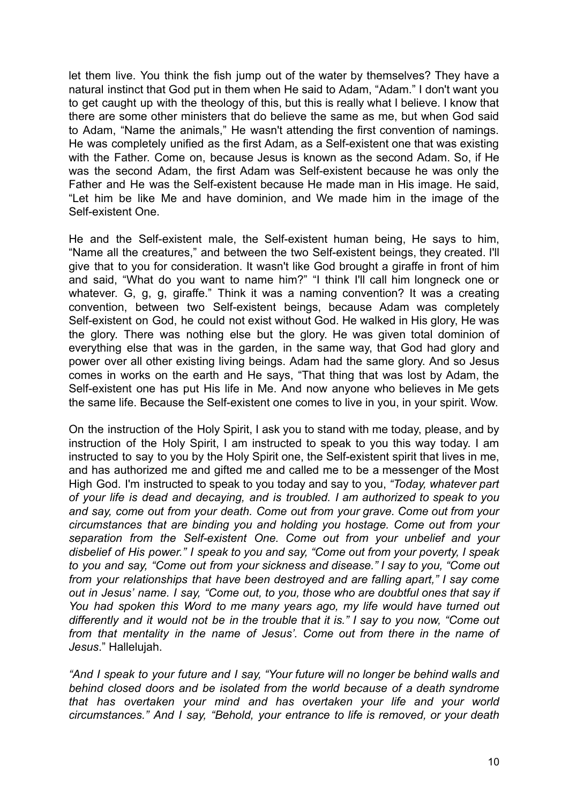let them live. You think the fish jump out of the water by themselves? They have a natural instinct that God put in them when He said to Adam, "Adam." I don't want you to get caught up with the theology of this, but this is really what I believe. I know that there are some other ministers that do believe the same as me, but when God said to Adam, "Name the animals," He wasn't attending the first convention of namings. He was completely unified as the first Adam, as a Self-existent one that was existing with the Father. Come on, because Jesus is known as the second Adam. So, if He was the second Adam, the first Adam was Self-existent because he was only the Father and He was the Self-existent because He made man in His image. He said, "Let him be like Me and have dominion, and We made him in the image of the Self-existent One.

He and the Self-existent male, the Self-existent human being, He says to him, "Name all the creatures," and between the two Self-existent beings, they created. I'll give that to you for consideration. It wasn't like God brought a giraffe in front of him and said, "What do you want to name him?" "I think I'll call him longneck one or whatever. G, g, g, giraffe." Think it was a naming convention? It was a creating convention, between two Self-existent beings, because Adam was completely Self-existent on God, he could not exist without God. He walked in His glory, He was the glory. There was nothing else but the glory. He was given total dominion of everything else that was in the garden, in the same way, that God had glory and power over all other existing living beings. Adam had the same glory. And so Jesus comes in works on the earth and He says, "That thing that was lost by Adam, the Self-existent one has put His life in Me. And now anyone who believes in Me gets the same life. Because the Self-existent one comes to live in you, in your spirit. Wow.

On the instruction of the Holy Spirit, I ask you to stand with me today, please, and by instruction of the Holy Spirit, I am instructed to speak to you this way today. I am instructed to say to you by the Holy Spirit one, the Self-existent spirit that lives in me, and has authorized me and gifted me and called me to be a messenger of the Most High God. I'm instructed to speak to you today and say to you, *"Today, whatever part of your life is dead and decaying, and is troubled. I am authorized to speak to you and say, come out from your death. Come out from your grave. Come out from your circumstances that are binding you and holding you hostage. Come out from your separation from the Self-existent One. Come out from your unbelief and your disbelief of His power." I speak to you and say, "Come out from your poverty, I speak to you and say, "Come out from your sickness and disease." I say to you, "Come out from your relationships that have been destroyed and are falling apart," I say come out in Jesus' name. I say, "Come out, to you, those who are doubtful ones that say if You had spoken this Word to me many years ago, my life would have turned out differently and it would not be in the trouble that it is." I say to you now, "Come out from that mentality in the name of Jesus'. Come out from there in the name of Jesus*." Hallelujah.

*"And I speak to your future and I say, "Your future will no longer be behind walls and behind closed doors and be isolated from the world because of a death syndrome that has overtaken your mind and has overtaken your life and your world circumstances." And I say, "Behold, your entrance to life is removed, or your death*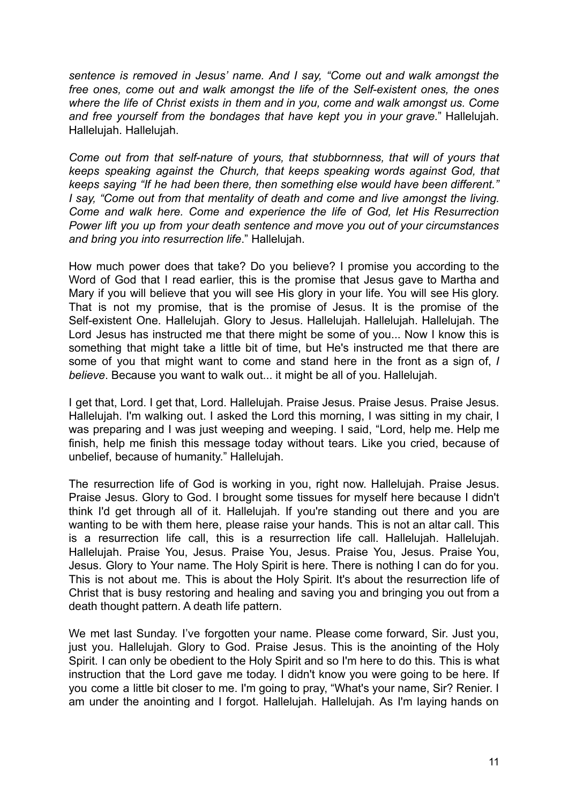*sentence is removed in Jesus' name. And I say, "Come out and walk amongst the free ones, come out and walk amongst the life of the Self-existent ones, the ones where the life of Christ exists in them and in you, come and walk amongst us. Come and free yourself from the bondages that have kept you in your grave.*" Hallelujah. Hallelujah. Hallelujah.

*Come out from that self-nature of yours, that stubbornness, that will of yours that keeps speaking against the Church, that keeps speaking words against God, that keeps saying "If he had been there, then something else would have been different." I say, "Come out from that mentality of death and come and live amongst the living. Come and walk here. Come and experience the life of God, let His Resurrection Power lift you up from your death sentence and move you out of your circumstances and bring you into resurrection life*." Hallelujah.

How much power does that take? Do you believe? I promise you according to the Word of God that I read earlier, this is the promise that Jesus gave to Martha and Mary if you will believe that you will see His glory in your life. You will see His glory. That is not my promise, that is the promise of Jesus. It is the promise of the Self-existent One. Hallelujah. Glory to Jesus. Hallelujah. Hallelujah. Hallelujah. The Lord Jesus has instructed me that there might be some of you... Now I know this is something that might take a little bit of time, but He's instructed me that there are some of you that might want to come and stand here in the front as a sign of, *I believe*. Because you want to walk out... it might be all of you. Hallelujah.

I get that, Lord. I get that, Lord. Hallelujah. Praise Jesus. Praise Jesus. Praise Jesus. Hallelujah. I'm walking out. I asked the Lord this morning, I was sitting in my chair, I was preparing and I was just weeping and weeping. I said, "Lord, help me. Help me finish, help me finish this message today without tears. Like you cried, because of unbelief, because of humanity." Hallelujah.

The resurrection life of God is working in you, right now. Hallelujah. Praise Jesus. Praise Jesus. Glory to God. I brought some tissues for myself here because I didn't think I'd get through all of it. Hallelujah. If you're standing out there and you are wanting to be with them here, please raise your hands. This is not an altar call. This is a resurrection life call, this is a resurrection life call. Hallelujah. Hallelujah. Hallelujah. Praise You, Jesus. Praise You, Jesus. Praise You, Jesus. Praise You, Jesus. Glory to Your name. The Holy Spirit is here. There is nothing I can do for you. This is not about me. This is about the Holy Spirit. It's about the resurrection life of Christ that is busy restoring and healing and saving you and bringing you out from a death thought pattern. A death life pattern.

We met last Sunday. I've forgotten your name. Please come forward, Sir. Just you, just you. Hallelujah. Glory to God. Praise Jesus. This is the anointing of the Holy Spirit. I can only be obedient to the Holy Spirit and so I'm here to do this. This is what instruction that the Lord gave me today. I didn't know you were going to be here. If you come a little bit closer to me. I'm going to pray, "What's your name, Sir? Renier. I am under the anointing and I forgot. Hallelujah. Hallelujah. As I'm laying hands on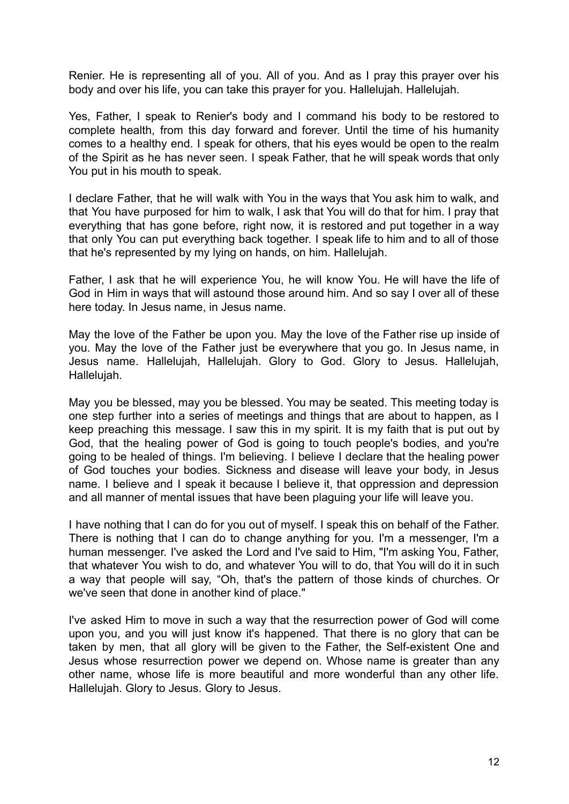Renier. He is representing all of you. All of you. And as I pray this prayer over his body and over his life, you can take this prayer for you. Hallelujah. Hallelujah.

Yes, Father, I speak to Renier's body and I command his body to be restored to complete health, from this day forward and forever. Until the time of his humanity comes to a healthy end. I speak for others, that his eyes would be open to the realm of the Spirit as he has never seen. I speak Father, that he will speak words that only You put in his mouth to speak.

I declare Father, that he will walk with You in the ways that You ask him to walk, and that You have purposed for him to walk, I ask that You will do that for him. I pray that everything that has gone before, right now, it is restored and put together in a way that only You can put everything back together. I speak life to him and to all of those that he's represented by my lying on hands, on him. Hallelujah.

Father, I ask that he will experience You, he will know You. He will have the life of God in Him in ways that will astound those around him. And so say I over all of these here today. In Jesus name, in Jesus name.

May the love of the Father be upon you. May the love of the Father rise up inside of you. May the love of the Father just be everywhere that you go. In Jesus name, in Jesus name. Hallelujah, Hallelujah. Glory to God. Glory to Jesus. Hallelujah, Hallelujah.

May you be blessed, may you be blessed. You may be seated. This meeting today is one step further into a series of meetings and things that are about to happen, as I keep preaching this message. I saw this in my spirit. It is my faith that is put out by God, that the healing power of God is going to touch people's bodies, and you're going to be healed of things. I'm believing. I believe I declare that the healing power of God touches your bodies. Sickness and disease will leave your body, in Jesus name. I believe and I speak it because I believe it, that oppression and depression and all manner of mental issues that have been plaguing your life will leave you.

I have nothing that I can do for you out of myself. I speak this on behalf of the Father. There is nothing that I can do to change anything for you. I'm a messenger, I'm a human messenger. I've asked the Lord and I've said to Him, "I'm asking You, Father, that whatever You wish to do, and whatever You will to do, that You will do it in such a way that people will say, "Oh, that's the pattern of those kinds of churches. Or we've seen that done in another kind of place."

I've asked Him to move in such a way that the resurrection power of God will come upon you, and you will just know it's happened. That there is no glory that can be taken by men, that all glory will be given to the Father, the Self-existent One and Jesus whose resurrection power we depend on. Whose name is greater than any other name, whose life is more beautiful and more wonderful than any other life. Hallelujah. Glory to Jesus. Glory to Jesus.